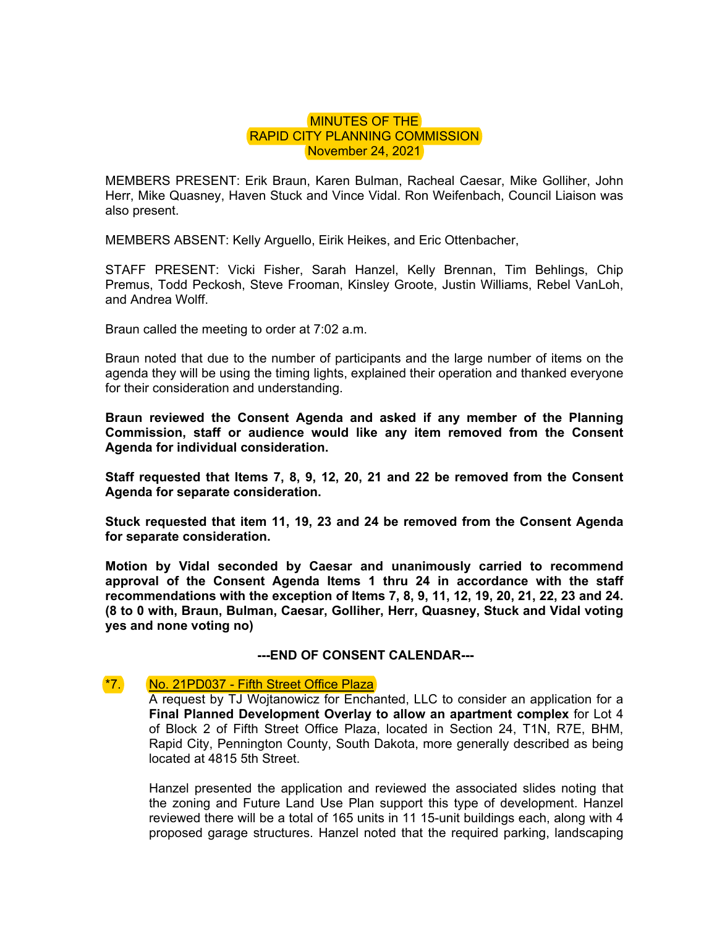## MINUTES OF THE RAPID CITY PLANNING COMMISSION November 24, 2021

MEMBERS PRESENT: Erik Braun, Karen Bulman, Racheal Caesar, Mike Golliher, John Herr, Mike Quasney, Haven Stuck and Vince Vidal. Ron Weifenbach, Council Liaison was also present.

MEMBERS ABSENT: Kelly Arguello, Eirik Heikes, and Eric Ottenbacher,

STAFF PRESENT: Vicki Fisher, Sarah Hanzel, Kelly Brennan, Tim Behlings, Chip Premus, Todd Peckosh, Steve Frooman, Kinsley Groote, Justin Williams, Rebel VanLoh, and Andrea Wolff.

Braun called the meeting to order at 7:02 a.m.

Braun noted that due to the number of participants and the large number of items on the agenda they will be using the timing lights, explained their operation and thanked everyone for their consideration and understanding.

**Braun reviewed the Consent Agenda and asked if any member of the Planning Commission, staff or audience would like any item removed from the Consent Agenda for individual consideration.** 

**Staff requested that Items 7, 8, 9, 12, 20, 21 and 22 be removed from the Consent Agenda for separate consideration.** 

**Stuck requested that item 11, 19, 23 and 24 be removed from the Consent Agenda for separate consideration.** 

**Motion by Vidal seconded by Caesar and unanimously carried to recommend approval of the Consent Agenda Items 1 thru 24 in accordance with the staff recommendations with the exception of Items 7, 8, 9, 11, 12, 19, 20, 21, 22, 23 and 24. (8 to 0 with, Braun, Bulman, Caesar, Golliher, Herr, Quasney, Stuck and Vidal voting yes and none voting no)** 

**---END OF CONSENT CALENDAR---** 

## \*7. No. 21PD037 - Fifth Street Office Plaza

A request by TJ Wojtanowicz for Enchanted, LLC to consider an application for a **Final Planned Development Overlay to allow an apartment complex** for Lot 4 of Block 2 of Fifth Street Office Plaza, located in Section 24, T1N, R7E, BHM, Rapid City, Pennington County, South Dakota, more generally described as being located at 4815 5th Street.

Hanzel presented the application and reviewed the associated slides noting that the zoning and Future Land Use Plan support this type of development. Hanzel reviewed there will be a total of 165 units in 11 15-unit buildings each, along with 4 proposed garage structures. Hanzel noted that the required parking, landscaping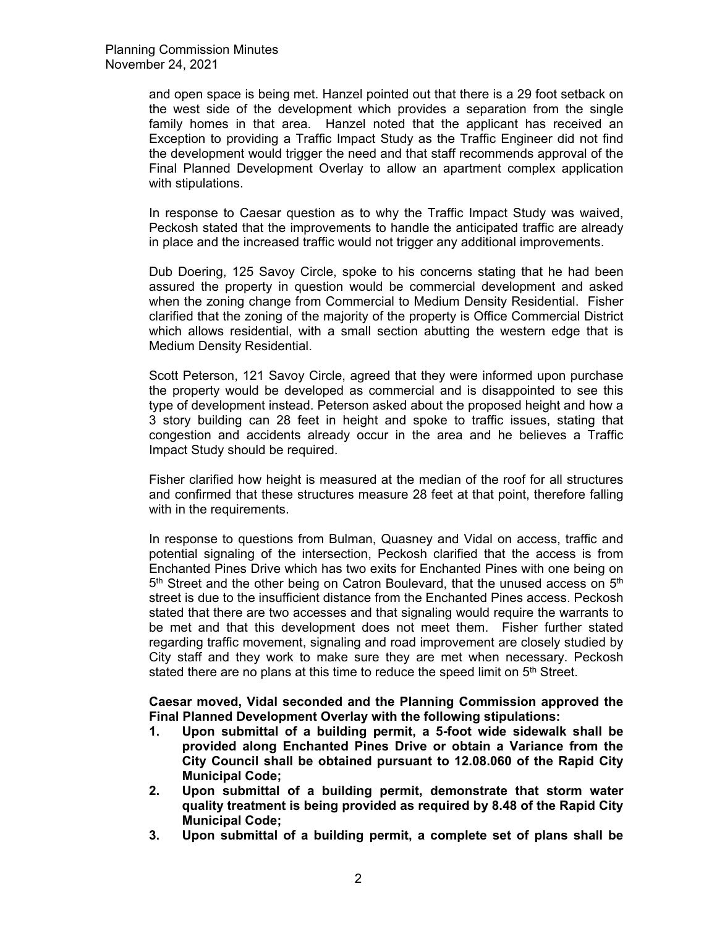and open space is being met. Hanzel pointed out that there is a 29 foot setback on the west side of the development which provides a separation from the single family homes in that area. Hanzel noted that the applicant has received an Exception to providing a Traffic Impact Study as the Traffic Engineer did not find the development would trigger the need and that staff recommends approval of the Final Planned Development Overlay to allow an apartment complex application with stipulations.

In response to Caesar question as to why the Traffic Impact Study was waived, Peckosh stated that the improvements to handle the anticipated traffic are already in place and the increased traffic would not trigger any additional improvements.

Dub Doering, 125 Savoy Circle, spoke to his concerns stating that he had been assured the property in question would be commercial development and asked when the zoning change from Commercial to Medium Density Residential. Fisher clarified that the zoning of the majority of the property is Office Commercial District which allows residential, with a small section abutting the western edge that is Medium Density Residential.

Scott Peterson, 121 Savoy Circle, agreed that they were informed upon purchase the property would be developed as commercial and is disappointed to see this type of development instead. Peterson asked about the proposed height and how a 3 story building can 28 feet in height and spoke to traffic issues, stating that congestion and accidents already occur in the area and he believes a Traffic Impact Study should be required.

Fisher clarified how height is measured at the median of the roof for all structures and confirmed that these structures measure 28 feet at that point, therefore falling with in the requirements.

In response to questions from Bulman, Quasney and Vidal on access, traffic and potential signaling of the intersection, Peckosh clarified that the access is from Enchanted Pines Drive which has two exits for Enchanted Pines with one being on  $5<sup>th</sup>$  Street and the other being on Catron Boulevard, that the unused access on  $5<sup>th</sup>$ street is due to the insufficient distance from the Enchanted Pines access. Peckosh stated that there are two accesses and that signaling would require the warrants to be met and that this development does not meet them. Fisher further stated regarding traffic movement, signaling and road improvement are closely studied by City staff and they work to make sure they are met when necessary. Peckosh stated there are no plans at this time to reduce the speed limit on  $5<sup>th</sup>$  Street.

**Caesar moved, Vidal seconded and the Planning Commission approved the Final Planned Development Overlay with the following stipulations:** 

- **1. Upon submittal of a building permit, a 5-foot wide sidewalk shall be provided along Enchanted Pines Drive or obtain a Variance from the City Council shall be obtained pursuant to 12.08.060 of the Rapid City Municipal Code;**
- **2. Upon submittal of a building permit, demonstrate that storm water quality treatment is being provided as required by 8.48 of the Rapid City Municipal Code;**
- **3. Upon submittal of a building permit, a complete set of plans shall be**